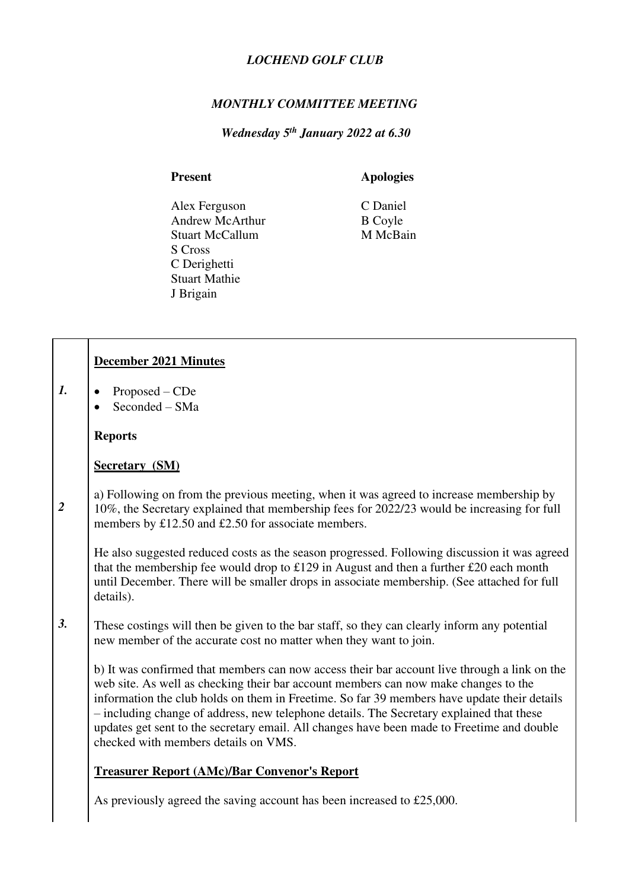#### *LOCHEND GOLF CLUB*

### *MONTHLY COMMITTEE MEETING*

 *Wednesday 5th January 2022 at 6.30* 

### Present **Apologies**

Alex Ferguson<br>
Andrew McArthur<br>
B Coyle Andrew McArthur B Coyle<br>
Stuart McCallum M McBain Stuart McCallum S Cross C Derighetti Stuart Mathie J Brigain

|                | December 2021 Minutes                                                                                                                                                                                                                                                                                                                                                                                                                                                                                                |
|----------------|----------------------------------------------------------------------------------------------------------------------------------------------------------------------------------------------------------------------------------------------------------------------------------------------------------------------------------------------------------------------------------------------------------------------------------------------------------------------------------------------------------------------|
| 1.             | Proposed – CDe<br>Seconded - SMa                                                                                                                                                                                                                                                                                                                                                                                                                                                                                     |
|                | <b>Reports</b>                                                                                                                                                                                                                                                                                                                                                                                                                                                                                                       |
|                | <b>Secretary (SM)</b>                                                                                                                                                                                                                                                                                                                                                                                                                                                                                                |
| $\overline{2}$ | a) Following on from the previous meeting, when it was agreed to increase membership by<br>10%, the Secretary explained that membership fees for 2022/23 would be increasing for full<br>members by £12.50 and £2.50 for associate members.                                                                                                                                                                                                                                                                          |
|                | He also suggested reduced costs as the season progressed. Following discussion it was agreed<br>that the membership fee would drop to £129 in August and then a further £20 each month<br>until December. There will be smaller drops in associate membership. (See attached for full<br>details).                                                                                                                                                                                                                   |
| 3.             | These costings will then be given to the bar staff, so they can clearly inform any potential<br>new member of the accurate cost no matter when they want to join.                                                                                                                                                                                                                                                                                                                                                    |
|                | b) It was confirmed that members can now access their bar account live through a link on the<br>web site. As well as checking their bar account members can now make changes to the<br>information the club holds on them in Freetime. So far 39 members have update their details<br>- including change of address, new telephone details. The Secretary explained that these<br>updates get sent to the secretary email. All changes have been made to Freetime and double<br>checked with members details on VMS. |
|                | <b>Treasurer Report (AMc)/Bar Convenor's Report</b>                                                                                                                                                                                                                                                                                                                                                                                                                                                                  |

As previously agreed the saving account has been increased to £25,000.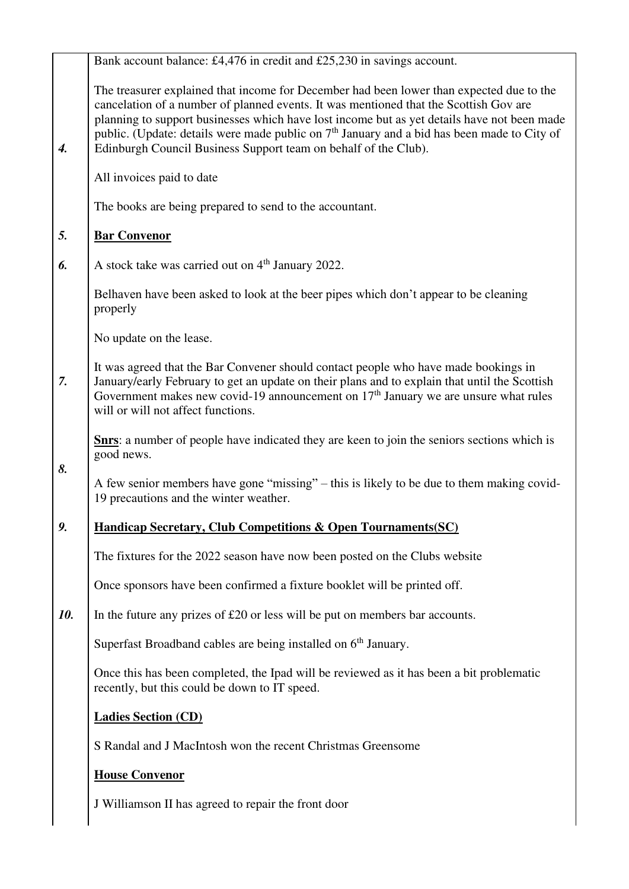|                  | Bank account balance: £4,476 in credit and £25,230 in savings account.                                                                                                                                                                                                                                                                                                                                                                               |
|------------------|------------------------------------------------------------------------------------------------------------------------------------------------------------------------------------------------------------------------------------------------------------------------------------------------------------------------------------------------------------------------------------------------------------------------------------------------------|
| $\overline{4}$ . | The treasurer explained that income for December had been lower than expected due to the<br>cancelation of a number of planned events. It was mentioned that the Scottish Gov are<br>planning to support businesses which have lost income but as yet details have not been made<br>public. (Update: details were made public on $7th$ January and a bid has been made to City of<br>Edinburgh Council Business Support team on behalf of the Club). |
|                  | All invoices paid to date                                                                                                                                                                                                                                                                                                                                                                                                                            |
|                  | The books are being prepared to send to the accountant.                                                                                                                                                                                                                                                                                                                                                                                              |
| 5.               | <b>Bar Convenor</b>                                                                                                                                                                                                                                                                                                                                                                                                                                  |
| 6.               | A stock take was carried out on 4 <sup>th</sup> January 2022.                                                                                                                                                                                                                                                                                                                                                                                        |
|                  | Belhaven have been asked to look at the beer pipes which don't appear to be cleaning<br>properly                                                                                                                                                                                                                                                                                                                                                     |
|                  | No update on the lease.                                                                                                                                                                                                                                                                                                                                                                                                                              |
| 7.               | It was agreed that the Bar Convener should contact people who have made bookings in<br>January/early February to get an update on their plans and to explain that until the Scottish<br>Government makes new covid-19 announcement on $17th$ January we are unsure what rules<br>will or will not affect functions.                                                                                                                                  |
| 8.               | <b>Show</b> : a number of people have indicated they are keen to join the seniors sections which is<br>good news.                                                                                                                                                                                                                                                                                                                                    |
|                  | A few senior members have gone "missing" – this is likely to be due to them making covid-<br>19 precautions and the winter weather.                                                                                                                                                                                                                                                                                                                  |
| 9.               | <b>Handicap Secretary, Club Competitions &amp; Open Tournaments (SC)</b>                                                                                                                                                                                                                                                                                                                                                                             |
|                  | The fixtures for the 2022 season have now been posted on the Clubs website                                                                                                                                                                                                                                                                                                                                                                           |
|                  | Once sponsors have been confirmed a fixture booklet will be printed off.                                                                                                                                                                                                                                                                                                                                                                             |
| 10.              | In the future any prizes of $£20$ or less will be put on members bar accounts.                                                                                                                                                                                                                                                                                                                                                                       |
|                  | Superfast Broadband cables are being installed on 6 <sup>th</sup> January.                                                                                                                                                                                                                                                                                                                                                                           |
|                  | Once this has been completed, the Ipad will be reviewed as it has been a bit problematic<br>recently, but this could be down to IT speed.                                                                                                                                                                                                                                                                                                            |
|                  | <b>Ladies Section (CD)</b>                                                                                                                                                                                                                                                                                                                                                                                                                           |
|                  | S Randal and J MacIntosh won the recent Christmas Greensome                                                                                                                                                                                                                                                                                                                                                                                          |
|                  | <b>House Convenor</b>                                                                                                                                                                                                                                                                                                                                                                                                                                |
|                  | J Williamson II has agreed to repair the front door                                                                                                                                                                                                                                                                                                                                                                                                  |